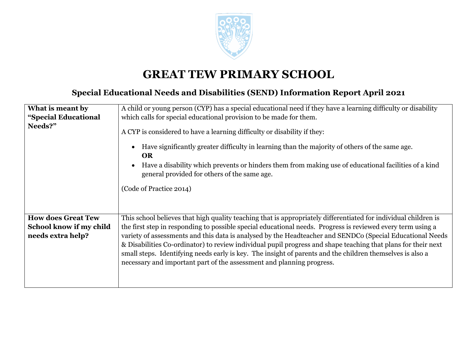

## **GREAT TEW PRIMARY SCHOOL**

## **Special Educational Needs and Disabilities (SEND) Information Report April 2021**

| What is meant by          | A child or young person (CYP) has a special educational need if they have a learning difficulty or disability                                                                                                                                                                                                                                                              |
|---------------------------|----------------------------------------------------------------------------------------------------------------------------------------------------------------------------------------------------------------------------------------------------------------------------------------------------------------------------------------------------------------------------|
| "Special Educational      | which calls for special educational provision to be made for them.                                                                                                                                                                                                                                                                                                         |
| Needs?"                   | A CYP is considered to have a learning difficulty or disability if they:<br>Have significantly greater difficulty in learning than the majority of others of the same age.<br><b>OR</b><br>Have a disability which prevents or hinders them from making use of educational facilities of a kind<br>general provided for others of the same age.<br>(Code of Practice 2014) |
| <b>How does Great Tew</b> | This school believes that high quality teaching that is appropriately differentiated for individual children is                                                                                                                                                                                                                                                            |
| School know if my child   | the first step in responding to possible special educational needs. Progress is reviewed every term using a                                                                                                                                                                                                                                                                |
| needs extra help?         | variety of assessments and this data is analysed by the Headteacher and SENDCo (Special Educational Needs                                                                                                                                                                                                                                                                  |
|                           | & Disabilities Co-ordinator) to review individual pupil progress and shape teaching that plans for their next<br>small steps. Identifying needs early is key. The insight of parents and the children themselves is also a<br>necessary and important part of the assessment and planning progress.                                                                        |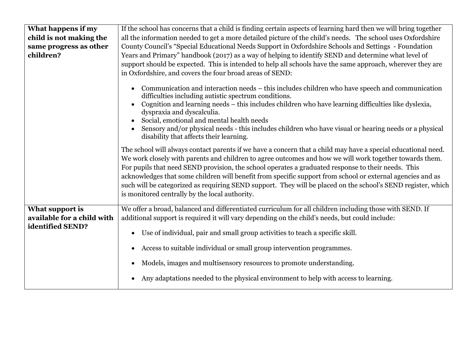| What happens if my<br>child is not making the<br>same progress as other<br>children? | If the school has concerns that a child is finding certain aspects of learning hard then we will bring together<br>all the information needed to get a more detailed picture of the child's needs. The school uses Oxfordshire<br>County Council's "Special Educational Needs Support in Oxfordshire Schools and Settings - Foundation<br>Years and Primary" handbook (2017) as a way of helping to identify SEND and determine what level of<br>support should be expected. This is intended to help all schools have the same approach, wherever they are<br>in Oxfordshire, and covers the four broad areas of SEND: |
|--------------------------------------------------------------------------------------|-------------------------------------------------------------------------------------------------------------------------------------------------------------------------------------------------------------------------------------------------------------------------------------------------------------------------------------------------------------------------------------------------------------------------------------------------------------------------------------------------------------------------------------------------------------------------------------------------------------------------|
|                                                                                      | Communication and interaction needs – this includes children who have speech and communication<br>difficulties including autistic spectrum conditions.<br>Cognition and learning needs - this includes children who have learning difficulties like dyslexia,<br>dyspraxia and dyscalculia.<br>Social, emotional and mental health needs<br>Sensory and/or physical needs - this includes children who have visual or hearing needs or a physical<br>disability that affects their learning.                                                                                                                            |
|                                                                                      | The school will always contact parents if we have a concern that a child may have a special educational need.<br>We work closely with parents and children to agree outcomes and how we will work together towards them.<br>For pupils that need SEND provision, the school operates a graduated response to their needs. This<br>acknowledges that some children will benefit from specific support from school or external agencies and as<br>such will be categorized as requiring SEND support. They will be placed on the school's SEND register, which<br>is monitored centrally by the local authority.          |
| What support is<br>available for a child with<br>identified SEND?                    | We offer a broad, balanced and differentiated curriculum for all children including those with SEND. If<br>additional support is required it will vary depending on the child's needs, but could include:<br>Use of individual, pair and small group activities to teach a specific skill.<br>$\bullet$<br>Access to suitable individual or small group intervention programmes.<br>Models, images and multisensory resources to promote understanding.<br>Any adaptations needed to the physical environment to help with access to learning.                                                                          |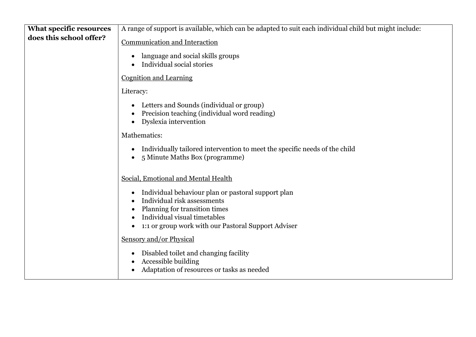| <b>What specific resources</b> | A range of support is available, which can be adapted to suit each individual child but might include:                                                                                                                              |
|--------------------------------|-------------------------------------------------------------------------------------------------------------------------------------------------------------------------------------------------------------------------------------|
| does this school offer?        | Communication and Interaction                                                                                                                                                                                                       |
|                                | language and social skills groups<br>Individual social stories                                                                                                                                                                      |
|                                | <b>Cognition and Learning</b>                                                                                                                                                                                                       |
|                                | Literacy:                                                                                                                                                                                                                           |
|                                | Letters and Sounds (individual or group)<br>Precision teaching (individual word reading)<br>Dyslexia intervention                                                                                                                   |
|                                | Mathematics:                                                                                                                                                                                                                        |
|                                | Individually tailored intervention to meet the specific needs of the child<br>5 Minute Maths Box (programme)<br>$\bullet$                                                                                                           |
|                                | Social, Emotional and Mental Health                                                                                                                                                                                                 |
|                                | Individual behaviour plan or pastoral support plan<br>Individual risk assessments<br>Planning for transition times<br>$\bullet$<br>Individual visual timetables<br>1:1 or group work with our Pastoral Support Adviser<br>$\bullet$ |
|                                | Sensory and/or Physical                                                                                                                                                                                                             |
|                                | Disabled toilet and changing facility<br>$\bullet$<br>Accessible building<br>Adaptation of resources or tasks as needed                                                                                                             |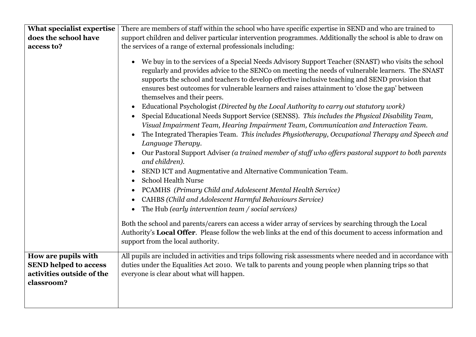| What specialist expertise    | There are members of staff within the school who have specific expertise in SEND and who are trained to                                                                                                                                                                                                                                                                                                                                                                                                                                                                                                                                                                                                                                                                                                                                                                                                                                                                                                                                                                                                                                                                                                                                                                                                                                                                                                                                                                                                                                                                             |
|------------------------------|-------------------------------------------------------------------------------------------------------------------------------------------------------------------------------------------------------------------------------------------------------------------------------------------------------------------------------------------------------------------------------------------------------------------------------------------------------------------------------------------------------------------------------------------------------------------------------------------------------------------------------------------------------------------------------------------------------------------------------------------------------------------------------------------------------------------------------------------------------------------------------------------------------------------------------------------------------------------------------------------------------------------------------------------------------------------------------------------------------------------------------------------------------------------------------------------------------------------------------------------------------------------------------------------------------------------------------------------------------------------------------------------------------------------------------------------------------------------------------------------------------------------------------------------------------------------------------------|
| does the school have         | support children and deliver particular intervention programmes. Additionally the school is able to draw on                                                                                                                                                                                                                                                                                                                                                                                                                                                                                                                                                                                                                                                                                                                                                                                                                                                                                                                                                                                                                                                                                                                                                                                                                                                                                                                                                                                                                                                                         |
| access to?                   | the services of a range of external professionals including:                                                                                                                                                                                                                                                                                                                                                                                                                                                                                                                                                                                                                                                                                                                                                                                                                                                                                                                                                                                                                                                                                                                                                                                                                                                                                                                                                                                                                                                                                                                        |
|                              | We buy in to the services of a Special Needs Advisory Support Teacher (SNAST) who visits the school<br>regularly and provides advice to the SENCo on meeting the needs of vulnerable learners. The SNAST<br>supports the school and teachers to develop effective inclusive teaching and SEND provision that<br>ensures best outcomes for vulnerable learners and raises attainment to 'close the gap' between<br>themselves and their peers.<br>Educational Psychologist (Directed by the Local Authority to carry out statutory work)<br>$\bullet$<br>Special Educational Needs Support Service (SENSS). This includes the Physical Disability Team,<br>Visual Impairment Team, Hearing Impairment Team, Communication and Interaction Team.<br>The Integrated Therapies Team. This includes Physiotherapy, Occupational Therapy and Speech and<br>Language Therapy.<br>Our Pastoral Support Adviser (a trained member of staff who offers pastoral support to both parents<br>and children).<br>SEND ICT and Augmentative and Alternative Communication Team.<br>$\bullet$<br><b>School Health Nurse</b><br>PCAMHS (Primary Child and Adolescent Mental Health Service)<br>$\bullet$<br>CAHBS (Child and Adolescent Harmful Behaviours Service)<br>The Hub (early intervention team / social services)<br>$\bullet$<br>Both the school and parents/carers can access a wider array of services by searching through the Local<br>Authority's Local Offer. Please follow the web links at the end of this document to access information and<br>support from the local authority. |
| How are pupils with          | All pupils are included in activities and trips following risk assessments where needed and in accordance with                                                                                                                                                                                                                                                                                                                                                                                                                                                                                                                                                                                                                                                                                                                                                                                                                                                                                                                                                                                                                                                                                                                                                                                                                                                                                                                                                                                                                                                                      |
| <b>SEND helped to access</b> | duties under the Equalities Act 2010. We talk to parents and young people when planning trips so that                                                                                                                                                                                                                                                                                                                                                                                                                                                                                                                                                                                                                                                                                                                                                                                                                                                                                                                                                                                                                                                                                                                                                                                                                                                                                                                                                                                                                                                                               |
| activities outside of the    | everyone is clear about what will happen.                                                                                                                                                                                                                                                                                                                                                                                                                                                                                                                                                                                                                                                                                                                                                                                                                                                                                                                                                                                                                                                                                                                                                                                                                                                                                                                                                                                                                                                                                                                                           |
| classroom?                   |                                                                                                                                                                                                                                                                                                                                                                                                                                                                                                                                                                                                                                                                                                                                                                                                                                                                                                                                                                                                                                                                                                                                                                                                                                                                                                                                                                                                                                                                                                                                                                                     |
|                              |                                                                                                                                                                                                                                                                                                                                                                                                                                                                                                                                                                                                                                                                                                                                                                                                                                                                                                                                                                                                                                                                                                                                                                                                                                                                                                                                                                                                                                                                                                                                                                                     |
|                              |                                                                                                                                                                                                                                                                                                                                                                                                                                                                                                                                                                                                                                                                                                                                                                                                                                                                                                                                                                                                                                                                                                                                                                                                                                                                                                                                                                                                                                                                                                                                                                                     |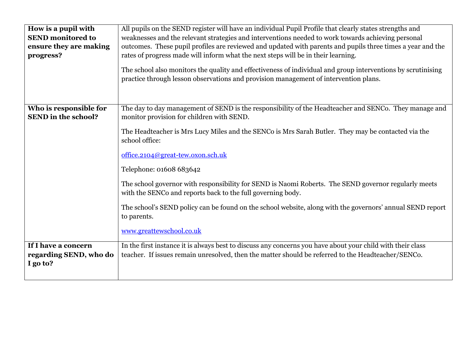| How is a pupil with<br><b>SEND</b> monitored to<br>ensure they are making<br>progress? | All pupils on the SEND register will have an individual Pupil Profile that clearly states strengths and<br>weaknesses and the relevant strategies and interventions needed to work towards achieving personal<br>outcomes. These pupil profiles are reviewed and updated with parents and pupils three times a year and the<br>rates of progress made will inform what the next steps will be in their learning.<br>The school also monitors the quality and effectiveness of individual and group interventions by scrutinising<br>practice through lesson observations and provision management of intervention plans.                                                  |
|----------------------------------------------------------------------------------------|---------------------------------------------------------------------------------------------------------------------------------------------------------------------------------------------------------------------------------------------------------------------------------------------------------------------------------------------------------------------------------------------------------------------------------------------------------------------------------------------------------------------------------------------------------------------------------------------------------------------------------------------------------------------------|
| Who is responsible for<br><b>SEND</b> in the school?                                   | The day to day management of SEND is the responsibility of the Headteacher and SENCo. They manage and<br>monitor provision for children with SEND.<br>The Headteacher is Mrs Lucy Miles and the SENCo is Mrs Sarah Butler. They may be contacted via the<br>school office:<br>office.2104@great-tew.oxon.sch.uk<br>Telephone: 01608 683642<br>The school governor with responsibility for SEND is Naomi Roberts. The SEND governor regularly meets<br>with the SENCo and reports back to the full governing body.<br>The school's SEND policy can be found on the school website, along with the governors' annual SEND report<br>to parents.<br>www.greattewschool.co.uk |
| If I have a concern<br>regarding SEND, who do<br>I go to?                              | In the first instance it is always best to discuss any concerns you have about your child with their class<br>teacher. If issues remain unresolved, then the matter should be referred to the Headteacher/SENCo.                                                                                                                                                                                                                                                                                                                                                                                                                                                          |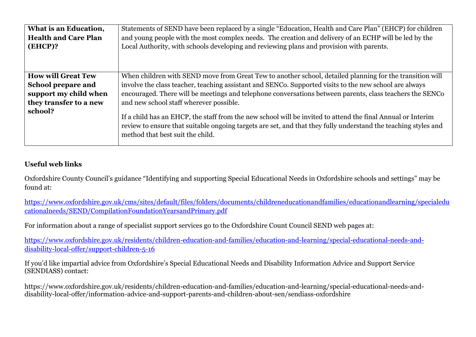| What is an Education,<br><b>Health and Care Plan</b><br>(EHCP)? | Statements of SEND have been replaced by a single "Education, Health and Care Plan" (EHCP) for children<br>and young people with the most complex needs. The creation and delivery of an ECHP will be led by the<br>Local Authority, with schools developing and reviewing plans and provision with parents. |
|-----------------------------------------------------------------|--------------------------------------------------------------------------------------------------------------------------------------------------------------------------------------------------------------------------------------------------------------------------------------------------------------|
| <b>How will Great Tew</b>                                       | When children with SEND move from Great Tew to another school, detailed planning for the transition will                                                                                                                                                                                                     |
| <b>School prepare and</b>                                       | involve the class teacher, teaching assistant and SENCo. Supported visits to the new school are always                                                                                                                                                                                                       |
| support my child when                                           | encouraged. There will be meetings and telephone conversations between parents, class teachers the SENCo                                                                                                                                                                                                     |
| they transfer to a new                                          | and new school staff wherever possible.                                                                                                                                                                                                                                                                      |
| school?                                                         | If a child has an EHCP, the staff from the new school will be invited to attend the final Annual or Interim<br>review to ensure that suitable ongoing targets are set, and that they fully understand the teaching styles and<br>method that best suit the child.                                            |

## **Useful web links**

Oxfordshire County Council's guidance "Identifying and supporting Special Educational Needs in Oxfordshire schools and settings" may be found at:

https://www.oxfordshire.gov.uk/cms/sites/default/files/folders/documents/childreneducationandfamilies/educationandlearning/specialedu cationalneeds/SEND/CompilationFoundationYearsandPrimary.pdf

For information about a range of specialist support services go to the Oxfordshire Count Council SEND web pages at:

https://www.oxfordshire.gov.uk/residents/children-education-and-families/education-and-learning/special-educational-needs-anddisability-local-offer/support-children-5-16

If you'd like impartial advice from Oxfordshire's Special Educational Needs and Disability Information Advice and Support Service (SENDIASS) contact:

https://www.oxfordshire.gov.uk/residents/children-education-and-families/education-and-learning/special-educational-needs-anddisability-local-offer/information-advice-and-support-parents-and-children-about-sen/sendiass-oxfordshire